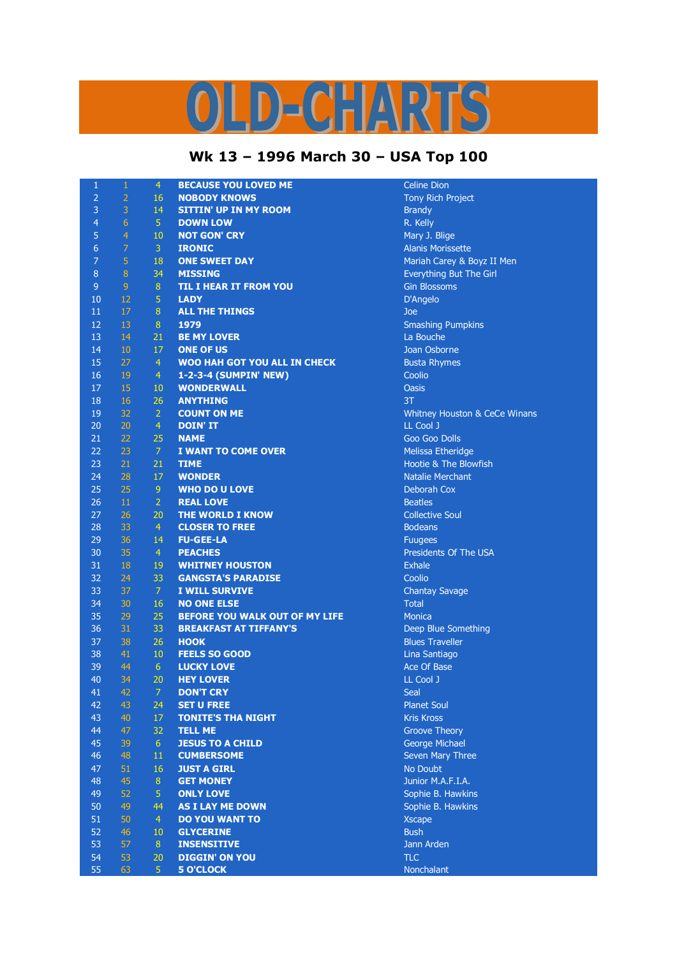## D-CHARTS L,

## **Wk 13 – 1996 March 30 – USA Top 100**

| $\mathbf{1}$   | $\mathbf{1}$    | $\overline{4}$ | <b>BECAUSE YOU LOVED ME</b>         | <b>Celine Dion</b>             |
|----------------|-----------------|----------------|-------------------------------------|--------------------------------|
| $\overline{2}$ | $\overline{2}$  | 16             | <b>NOBODY KNOWS</b>                 | <b>Tony Rich Project</b>       |
| 3              | 3               | 14             | <b>SITTIN' UP IN MY ROOM</b>        | <b>Brandy</b>                  |
| 4              | $6\phantom{1}6$ | 5 <sup>°</sup> | <b>DOWN LOW</b>                     | R. Kelly                       |
| 5              | $\overline{4}$  | 10             | <b>NOT GON' CRY</b>                 | Mary J. Blige                  |
| 6              | 7               | $\mathbf{3}$   | <b>IRONIC</b>                       | <b>Alanis Morissette</b>       |
| 7              | 5               | 18             | <b>ONE SWEET DAY</b>                | Mariah Carey & Boyz II Men     |
| 8              | $\bf 8$         | 34             | <b>MISSING</b>                      | <b>Everything But The Girl</b> |
| $\overline{9}$ | $\overline{9}$  | 8 <sup>°</sup> | <b>TIL I HEAR IT FROM YOU</b>       | <b>Gin Blossoms</b>            |
| 10             | 12              | $\overline{5}$ | <b>LADY</b>                         | D'Angelo                       |
| 11             | 17              | 8              | <b>ALL THE THINGS</b>               | Joe                            |
| 12             | 13              | 8              | 1979                                | <b>Smashing Pumpkins</b>       |
| 13             | 14              | 21             | <b>BE MY LOVER</b>                  | La Bouche                      |
| 14             | 10              | 17             | <b>ONE OF US</b>                    | Joan Osborne                   |
| 15             | 27              | $\overline{4}$ | <b>WOO HAH GOT YOU ALL IN CHECK</b> | <b>Busta Rhymes</b>            |
| 16             | 19              | $\overline{4}$ | 1-2-3-4 (SUMPIN' NEW)               | Coolio                         |
| 17             | 15              | 10             | <b>WONDERWALL</b>                   | <b>Oasis</b>                   |
| 18             | 16              | 26             | <b>ANYTHING</b>                     | 3T                             |
|                |                 |                |                                     |                                |
| 19             | 32              | $\overline{2}$ | <b>COUNT ON ME</b>                  | Whitney Houston & CeCe Winans  |
| 20             | 20              | $\overline{4}$ | <b>DOIN' IT</b>                     | LL Cool J                      |
| 21             | 22              | 25             | <b>NAME</b>                         | Goo Goo Dolls                  |
| 22             | 23              | $\overline{7}$ | <b>I WANT TO COME OVER</b>          | Melissa Etheridge              |
| 23             | 21              | 21             | <b>TIME</b>                         | Hootie & The Blowfish          |
| 24             | 28              | 17             | <b>WONDER</b>                       | <b>Natalie Merchant</b>        |
| 25             | 25              | 9              | <b>WHO DO U LOVE</b>                | Deborah Cox                    |
| 26             | 11              | $\overline{2}$ | <b>REAL LOVE</b>                    | <b>Beatles</b>                 |
| 27             | 26              | 20             | <b>THE WORLD I KNOW</b>             | <b>Collective Soul</b>         |
| 28             | 33              | $\overline{4}$ | <b>CLOSER TO FREE</b>               | <b>Bodeans</b>                 |
| 29             | 36              | 14             | <b>FU-GEE-LA</b>                    | <b>Fuugees</b>                 |
| 30             | 35              | $\overline{4}$ | <b>PEACHES</b>                      | Presidents Of The USA          |
| 31             | 18              | 19             | <b>WHITNEY HOUSTON</b>              | <b>Exhale</b>                  |
| 32             | 24              | 33             | <b>GANGSTA'S PARADISE</b>           | Coolio                         |
| 33             | 37              | $\overline{7}$ | <b>I WILL SURVIVE</b>               | <b>Chantay Savage</b>          |
| 34             | 30              | 16             | <b>NO ONE ELSE</b>                  | <b>Total</b>                   |
| 35             | 29              | 25             | BEFORE YOU WALK OUT OF MY LIFE      | Monica                         |
| 36             | 31              | 33             | <b>BREAKFAST AT TIFFANY'S</b>       | Deep Blue Something            |
| 37             | 38              | 26             | <b>HOOK</b>                         | <b>Blues Traveller</b>         |
| 38             | 41              | 10             | <b>FEELS SO GOOD</b>                | Lina Santiago                  |
| 39             | 44              | 6 <sup>1</sup> | <b>LUCKY LOVE</b>                   | Ace Of Base                    |
| 40             | 34              | 20             | <b>HEY LOVER</b>                    | LL Cool J                      |
| 41             | 42              | $\overline{7}$ | <b>DON'T CRY</b>                    | Seal                           |
| 42             | 43              | 24             | <b>SET U FREE</b>                   | <b>Planet Soul</b>             |
| 43             | 40              | 17             | <b>TONITE'S THA NIGHT</b>           | <b>Kris Kross</b>              |
| 44             | 47              | 32             | <b>TELL ME</b>                      | <b>Groove Theory</b>           |
| 45             | 39              | 6 <sup>1</sup> | <b>JESUS TO A CHILD</b>             | <b>George Michael</b>          |
| 46             | 48              | 11             | <b>CUMBERSOME</b>                   | Seven Mary Three               |
| 47             | 51              | 16             | <b>JUST A GIRL</b>                  | No Doubt                       |
| 48             | 45              | 8              | <b>GET MONEY</b>                    | Junior M.A.F.I.A.              |
| 49             | 52              | 5              | <b>ONLY LOVE</b>                    | Sophie B. Hawkins              |
| 50             | 49              | 44             | <b>AS I LAY ME DOWN</b>             | Sophie B. Hawkins              |
| 51             | 50              | $\overline{4}$ | <b>DO YOU WANT TO</b>               | <b>Xscape</b>                  |
| 52             | 46              | 10             | <b>GLYCERINE</b>                    | <b>Bush</b>                    |
| 53             | 57              | 8 <sup>°</sup> | <b>INSENSITIVE</b>                  | Jann Arden                     |
| 54             | 53              | 20             | <b>DIGGIN' ON YOU</b>               | <b>TLC</b>                     |
| 55             | 63              | 5 <sup>1</sup> | <b>5 O'CLOCK</b>                    | Nonchalant                     |